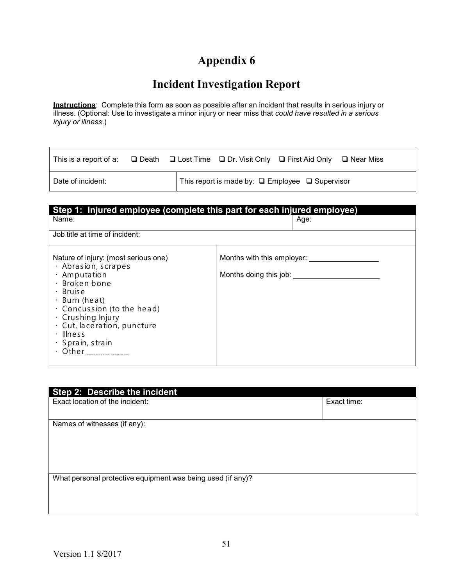## Appendix 6

## Incident Investigation Report

**Instructions**: Complete this form as soon as possible after an incident that results in serious injury or illness. (Optional: Use to investigate a minor injury or near miss that *could have resulted in a serious* injury or illness.)

| This is a report of a: $\Box$ Death $\Box$ Lost Time $\Box$ Dr. Visit Only $\Box$ First Aid Only $\Box$ Near Miss |  |                                                                 |  |
|-------------------------------------------------------------------------------------------------------------------|--|-----------------------------------------------------------------|--|
| Date of incident:                                                                                                 |  | This report is made by: $\square$ Employee $\square$ Supervisor |  |

| Step 1: Injured employee (complete this part for each injured employee)                                                                                                                                                                                                                                                   |                                                                |  |
|---------------------------------------------------------------------------------------------------------------------------------------------------------------------------------------------------------------------------------------------------------------------------------------------------------------------------|----------------------------------------------------------------|--|
| Name:                                                                                                                                                                                                                                                                                                                     | Age:                                                           |  |
| Job title at time of incident:                                                                                                                                                                                                                                                                                            |                                                                |  |
| Nature of injury: (most serious one)<br>$\cdot$ Abrasion, scrapes<br>$\cdot$ Amputation<br>$\cdot$ Broken bone<br>$\cdot$ Bruise<br>$\cdot$ Burn (heat)<br>$\cdot$ Concussion (to the head)<br>· Crushing Injury<br>$\cdot$ Cut, laceration, puncture<br>$\cdot$ Illness<br>$\cdot$ Sprain, strain<br>· Other ___________ | Months with this employer: _________<br>Months doing this job: |  |

| Step 2: Describe the incident                               |             |  |
|-------------------------------------------------------------|-------------|--|
| Exact location of the incident:                             | Exact time: |  |
|                                                             |             |  |
| Names of witnesses (if any):                                |             |  |
|                                                             |             |  |
|                                                             |             |  |
|                                                             |             |  |
|                                                             |             |  |
| What personal protective equipment was being used (if any)? |             |  |
|                                                             |             |  |
|                                                             |             |  |
|                                                             |             |  |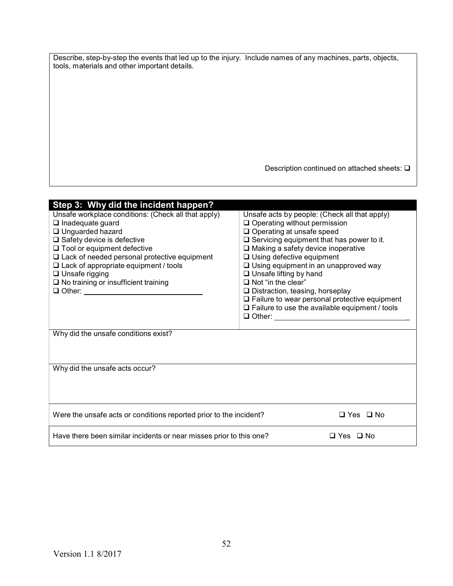|                                               | Describe, step-by-step the events that led up to the injury. Include names of any machines, parts, objects, |  |
|-----------------------------------------------|-------------------------------------------------------------------------------------------------------------|--|
| tools, materials and other important details. |                                                                                                             |  |

Description continued on attached sheets:  $\square$ 

| Step 3: Why did the incident happen?                                                                                                                                                                                                                                                                                                                              |                                                                                                                                                                                                                                                                                                                                                                                                                                                                                                                                                                                                     |  |
|-------------------------------------------------------------------------------------------------------------------------------------------------------------------------------------------------------------------------------------------------------------------------------------------------------------------------------------------------------------------|-----------------------------------------------------------------------------------------------------------------------------------------------------------------------------------------------------------------------------------------------------------------------------------------------------------------------------------------------------------------------------------------------------------------------------------------------------------------------------------------------------------------------------------------------------------------------------------------------------|--|
| Unsafe workplace conditions: (Check all that apply)<br>$\Box$ Inadequate guard<br>□ Unguarded hazard<br>$\Box$ Safety device is defective<br>$\Box$ Tool or equipment defective<br>$\Box$ Lack of needed personal protective equipment<br>$\Box$ Lack of appropriate equipment / tools<br>$\Box$ Unsafe rigging<br>$\square$ No training or insufficient training | Unsafe acts by people: (Check all that apply)<br>$\Box$ Operating without permission<br>□ Operating at unsafe speed<br>$\square$ Servicing equipment that has power to it.<br>$\Box$ Making a safety device inoperative<br>$\Box$ Using defective equipment<br>$\Box$ Using equipment in an unapproved way<br>$\Box$ Unsafe lifting by hand<br>$\Box$ Not "in the clear"<br>$\square$ Distraction, teasing, horseplay<br>$\Box$ Failure to wear personal protective equipment<br>$\Box$ Failure to use the available equipment / tools<br><b>Q</b> Other: <u>__________________________________</u> |  |
| Why did the unsafe conditions exist?                                                                                                                                                                                                                                                                                                                              |                                                                                                                                                                                                                                                                                                                                                                                                                                                                                                                                                                                                     |  |
| Why did the unsafe acts occur?                                                                                                                                                                                                                                                                                                                                    |                                                                                                                                                                                                                                                                                                                                                                                                                                                                                                                                                                                                     |  |
| $\Box$ Yes $\Box$ No<br>Were the unsafe acts or conditions reported prior to the incident?                                                                                                                                                                                                                                                                        |                                                                                                                                                                                                                                                                                                                                                                                                                                                                                                                                                                                                     |  |
| Have there been similar incidents or near misses prior to this one?<br>□ Yes □ No                                                                                                                                                                                                                                                                                 |                                                                                                                                                                                                                                                                                                                                                                                                                                                                                                                                                                                                     |  |